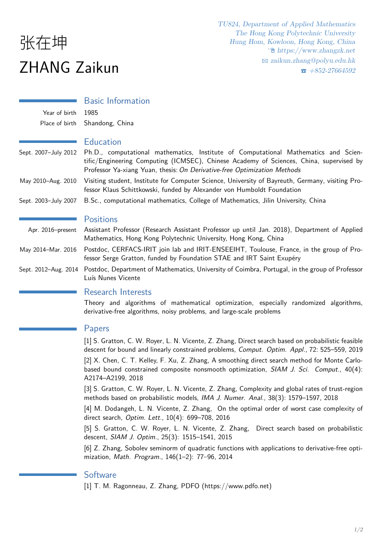# 张在坤 ZHANG Zaikun

### Basic Information

Year of birth 1985 Place of birth Shandong, China

#### **Education**

- Sept. 2007–July 2012 Ph.D., computational mathematics, Institute of Computational Mathematics and Scientific/Engineering Computing (ICMSEC), Chinese Academy of Sciences, China, supervised by Professor Ya-xiang Yuan, thesis: *On Derivative-free Optimization Methods*
- May 2010–Aug. 2010 Visiting student, Institute for Computer Science, University of Bayreuth, Germany, visiting Professor Klaus Schittkowski, funded by Alexander von Humboldt Foundation
- Sept. 2003–July 2007 B.Sc., computational mathematics, College of Mathematics, Jilin University, China

#### **Positions**

- Apr. 2016–present Assistant Professor (Research Assistant Professor up until Jan. 2018), Department of Applied Mathematics, Hong Kong Polytechnic University, Hong Kong, China
- May 2014–Mar. 2016 Postdoc, CERFACS-IRIT join lab and IRIT-ENSEEIHT, Toulouse, France, in the group of Professor Serge Gratton, funded by Foundation STAE and IRT Saint Exupéry
- Sept. 2012–Aug. 2014 Postdoc, Department of Mathematics, University of Coimbra, Portugal, in the group of Professor Luís Nunes Vicente

#### Research Interests

Theory and algorithms of mathematical optimization, especially randomized algorithms, derivative-free algorithms, noisy problems, and large-scale problems

#### Papers

[1] S. Gratton, C. W. Royer, L. N. Vicente, Z. Zhang, Direct search based on probabilistic feasible descent for bound and linearly constrained problems, *Comput. Optim. Appl.*, 72: 525–559, 2019

[2] X. Chen, C. T. Kelley, F. Xu, Z. Zhang, A smoothing direct search method for Monte Carlobased bound constrained composite nonsmooth optimization, *SIAM J. Sci. Comput.*, 40(4): A2174–A2199, 2018

[3] S. Gratton, C. W. Royer, L. N. Vicente, Z. Zhang, Complexity and global rates of trust-region methods based on probabilistic models, *IMA J. Numer. Anal.*, 38(3): 1579–1597, 2018

[4] M. Dodangeh, L. N. Vicente, Z. Zhang, On the optimal order of worst case complexity of direct search, *Optim. Lett.*, 10(4): 699–708, 2016

[5] S. Gratton, C. W. Royer, L. N. Vicente, Z. Zhang, Direct search based on probabilistic descent, *SIAM J. Optim.*, 25(3): 1515–1541, 2015

[6] Z. Zhang, Sobolev seminorm of quadratic functions with applications to derivative-free optimization, *Math. Program.*, 146(1–2): 77–96, 2014

#### **Software**

[1] T. M. Ragonneau, Z. Zhang, PDFO (https://www.pdfo.net)